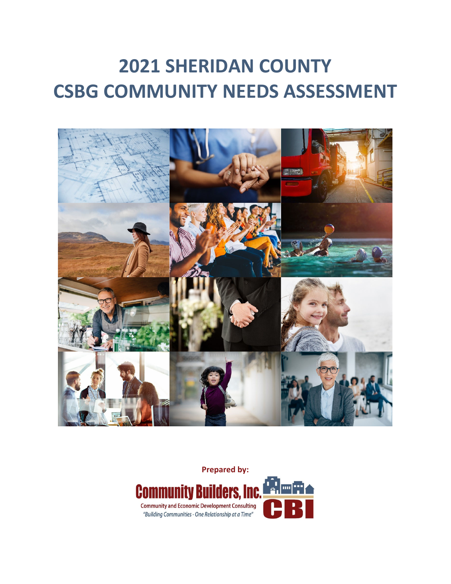# **2021 SHERIDAN COUNTY CSBG COMMUNITY NEEDS ASSESSMENT**



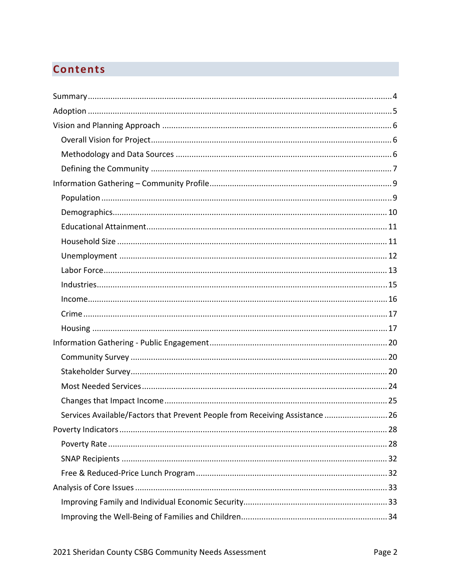# **Contents**

| Services Available/Factors that Prevent People from Receiving Assistance  26 |
|------------------------------------------------------------------------------|
|                                                                              |
|                                                                              |
|                                                                              |
|                                                                              |
|                                                                              |
|                                                                              |
|                                                                              |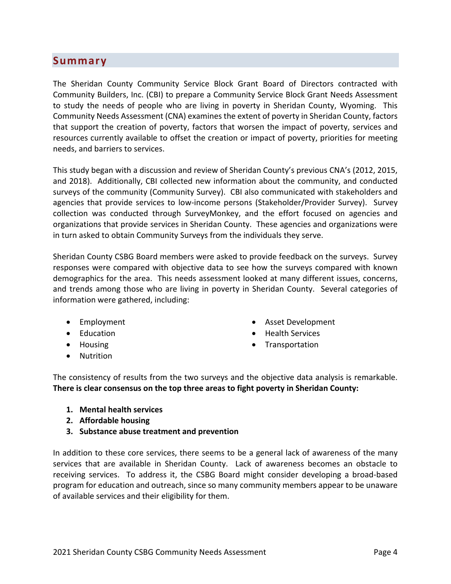# **Summary**

The Sheridan County Community Service Block Grant Board of Directors contracted with Community Builders, Inc. (CBI) to prepare a Community Service Block Grant Needs Assessment to study the needs of people who are living in poverty in Sheridan County, Wyoming. This Community Needs Assessment (CNA) examines the extent of poverty in Sheridan County, factors that support the creation of poverty, factors that worsen the impact of poverty, services and resources currently available to offset the creation or impact of poverty, priorities for meeting needs, and barriers to services.

This study began with a discussion and review of Sheridan County's previous CNA's (2012, 2015, and 2018). Additionally, CBI collected new information about the community, and conducted surveys of the community (Community Survey). CBI also communicated with stakeholders and agencies that provide services to low-income persons (Stakeholder/Provider Survey). Survey collection was conducted through SurveyMonkey, and the effort focused on agencies and organizations that provide services in Sheridan County. These agencies and organizations were in turn asked to obtain Community Surveys from the individuals they serve.

Sheridan County CSBG Board members were asked to provide feedback on the surveys. Survey responses were compared with objective data to see how the surveys compared with known demographics for the area. This needs assessment looked at many different issues, concerns, and trends among those who are living in poverty in Sheridan County. Several categories of information were gathered, including:

- Employment
- Education
- Housing
- **•** Nutrition
- Asset Development
- Health Services
- Transportation

The consistency of results from the two surveys and the objective data analysis is remarkable. **There is clear consensus on the top three areas to fight poverty in Sheridan County:**

- **1. Mental health services**
- **2. Affordable housing**
- **3. Substance abuse treatment and prevention**

In addition to these core services, there seems to be a general lack of awareness of the many services that are available in Sheridan County. Lack of awareness becomes an obstacle to receiving services. To address it, the CSBG Board might consider developing a broad-based program for education and outreach, since so many community members appear to be unaware of available services and their eligibility for them.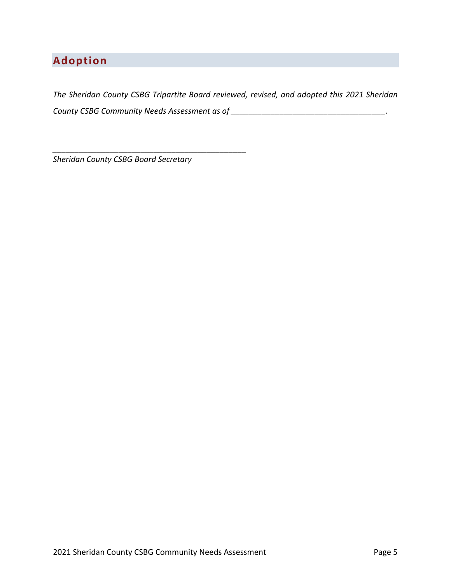# **Adoption**

*The Sheridan County CSBG Tripartite Board reviewed, revised, and adopted this 2021 Sheridan County CSBG Community Needs Assessment as of \_\_\_\_\_\_\_\_\_\_\_\_\_\_\_\_\_\_\_\_\_\_\_\_\_\_\_\_\_\_\_\_\_\_\_.*

*Sheridan County CSBG Board Secretary*

*\_\_\_\_\_\_\_\_\_\_\_\_\_\_\_\_\_\_\_\_\_\_\_\_\_\_\_\_\_\_\_\_\_\_\_\_\_\_\_\_\_\_\_\_*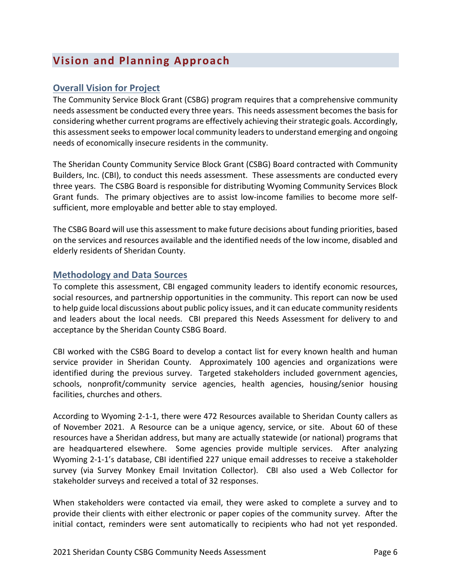# **Vision and Planning Approach**

# **Overall Vision for Project**

The Community Service Block Grant (CSBG) program requires that a comprehensive community needs assessment be conducted every three years. This needs assessment becomesthe basisfor considering whether current programs are effectively achieving their strategic goals. Accordingly, this assessment seeks to empower local community leaders to understand emerging and ongoing needs of economically insecure residents in the community.

The Sheridan County Community Service Block Grant (CSBG) Board contracted with Community Builders, Inc. (CBI), to conduct this needs assessment. These assessments are conducted every three years. The CSBG Board is responsible for distributing Wyoming Community Services Block Grant funds. The primary objectives are to assist low-income families to become more selfsufficient, more employable and better able to stay employed.

The CSBG Board will use this assessment to make future decisions about funding priorities, based on the services and resources available and the identified needs of the low income, disabled and elderly residents of Sheridan County.

# **Methodology and Data Sources**

To complete this assessment, CBI engaged community leaders to identify economic resources, social resources, and partnership opportunities in the community. This report can now be used to help guide local discussions about public policy issues, and it can educate community residents and leaders about the local needs. CBI prepared this Needs Assessment for delivery to and acceptance by the Sheridan County CSBG Board.

CBI worked with the CSBG Board to develop a contact list for every known health and human service provider in Sheridan County. Approximately 100 agencies and organizations were identified during the previous survey. Targeted stakeholders included government agencies, schools, nonprofit/community service agencies, health agencies, housing/senior housing facilities, churches and others.

According to Wyoming 2‐1‐1, there were 472 Resources available to Sheridan County callers as of November 2021. A Resource can be a unique agency, service, or site. About 60 of these resources have a Sheridan address, but many are actually statewide (or national) programs that are headquartered elsewhere. Some agencies provide multiple services. After analyzing Wyoming 2‐1‐1's database, CBI identified 227 unique email addresses to receive a stakeholder survey (via Survey Monkey Email Invitation Collector). CBI also used a Web Collector for stakeholder surveys and received a total of 32 responses.

When stakeholders were contacted via email, they were asked to complete a survey and to provide their clients with either electronic or paper copies of the community survey. After the initial contact, reminders were sent automatically to recipients who had not yet responded.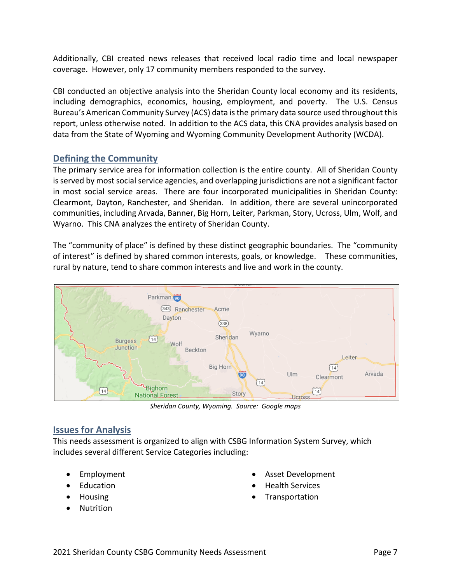Additionally, CBI created news releases that received local radio time and local newspaper coverage. However, only 17 community members responded to the survey.

CBI conducted an objective analysis into the Sheridan County local economy and its residents, including demographics, economics, housing, employment, and poverty. The U.S. Census Bureau's American Community Survey (ACS) data isthe primary data source used throughout this report, unless otherwise noted. In addition to the ACS data, this CNA provides analysis based on data from the State of Wyoming and Wyoming Community Development Authority (WCDA).

# **Defining the Community**

The primary service area for information collection is the entire county. All of Sheridan County isserved by most social service agencies, and overlapping jurisdictions are not a significant factor in most social service areas. There are four incorporated municipalities in Sheridan County: Clearmont, Dayton, Ranchester, and Sheridan. In addition, there are several unincorporated communities, including Arvada, Banner, Big Horn, Leiter, Parkman, Story, Ucross, Ulm, Wolf, and Wyarno. This CNA analyzes the entirety of Sheridan County.

The "community of place" is defined by these distinct geographic boundaries. The "community of interest" is defined by shared common interests, goals, or knowledge. These communities, rural by nature, tend to share common interests and live and work in the county.



*Sheridan County, Wyoming. Source: Google maps*

# **Issues for Analysis**

This needs assessment is organized to align with CSBG Information System Survey, which includes several different Service Categories including:

- Employment
- Education
- Housing
- **Nutrition**
- Asset Development
- Health Services
- **Transportation**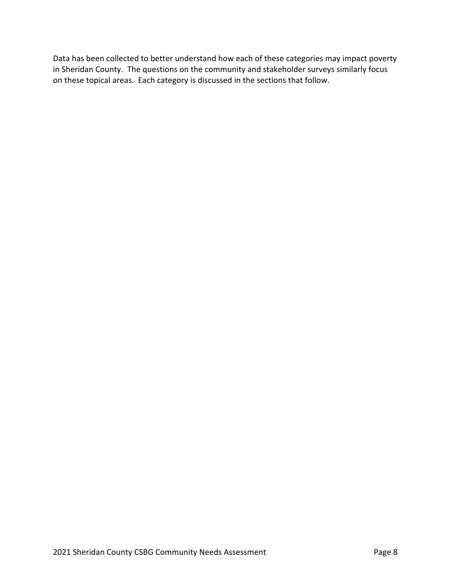Data has been collected to better understand how each of these categories may impact poverty in Sheridan County. The questions on the community and stakeholder surveys similarly focus on these topical areas. Each category is discussed in the sections that follow.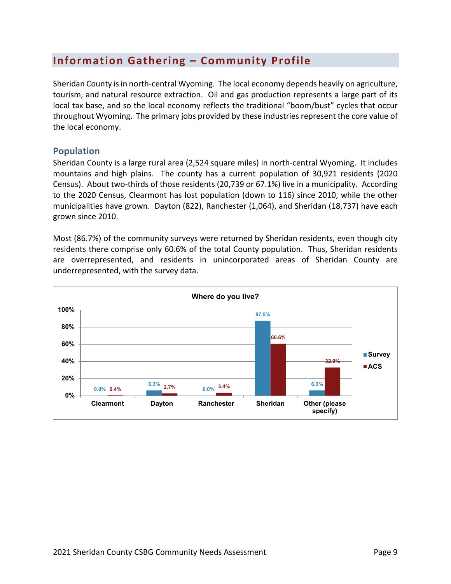# **Information Gathering – Community Profile**

Sheridan County isin north‐central Wyoming. The local economy depends heavily on agriculture, tourism, and natural resource extraction. Oil and gas production represents a large part of its local tax base, and so the local economy reflects the traditional "boom/bust" cycles that occur throughout Wyoming. The primary jobs provided by these industries represent the core value of the local economy.

### **Population**

Sheridan County is a large rural area (2,524 square miles) in north‐central Wyoming. It includes mountains and high plains. The county has a current population of 30,921 residents (2020 Census). About two‐thirds of those residents (20,739 or 67.1%) live in a municipality. According to the 2020 Census, Clearmont has lost population (down to 116) since 2010, while the other municipalities have grown. Dayton (822), Ranchester (1,064), and Sheridan (18,737) have each grown since 2010.

Most (86.7%) of the community surveys were returned by Sheridan residents, even though city residents there comprise only 60.6% of the total County population. Thus, Sheridan residents are overrepresented, and residents in unincorporated areas of Sheridan County are underrepresented, with the survey data.

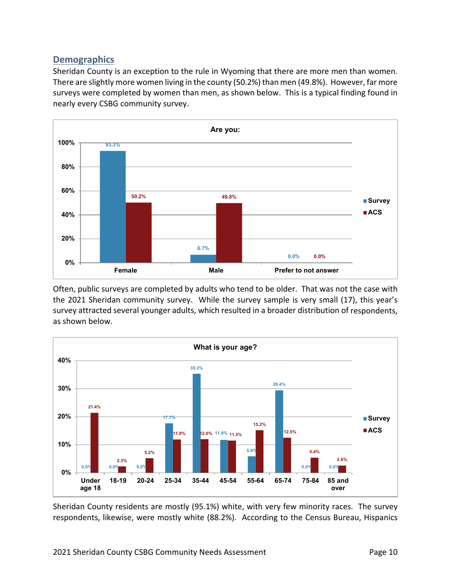# **Demographics**

Sheridan County is an exception to the rule in Wyoming that there are more men than women. There are slightly more women living in the county (50.2%) than men (49.8%). However, far more surveys were completed by women than men, as shown below. This is a typical finding found in nearly every CSBG community survey.



Often, public surveys are completed by adults who tend to be older. That was not the case with the 2021 Sheridan community survey. While the survey sample is very small (17), this year's survey attracted several younger adults, which resulted in a broader distribution of respondents, as shown below.



Sheridan County residents are mostly (95.1%) white, with very few minority races. The survey respondents, likewise, were mostly white (88.2%). According to the Census Bureau, Hispanics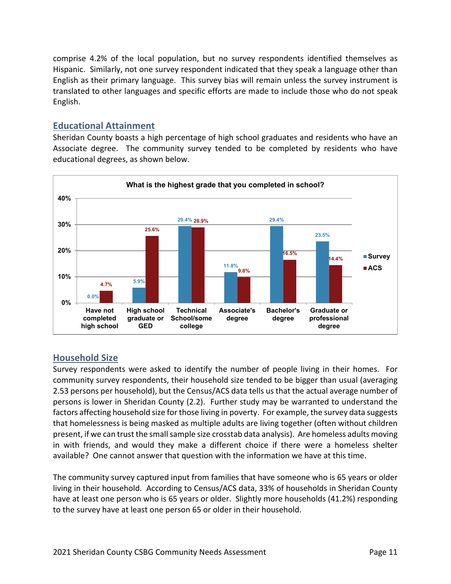comprise 4.2% of the local population, but no survey respondents identified themselves as Hispanic. Similarly, not one survey respondent indicated that they speak a language other than English as their primary language. This survey bias will remain unless the survey instrument is translated to other languages and specific efforts are made to include those who do not speak English.

# **Educational Attainment**

Sheridan County boasts a high percentage of high school graduates and residents who have an Associate degree. The community survey tended to be completed by residents who have educational degrees, as shown below.



# **Household Size**

Survey respondents were asked to identify the number of people living in their homes. For community survey respondents, their household size tended to be bigger than usual (averaging 2.53 persons per household), but the Census/ACS data tells us that the actual average number of persons is lower in Sheridan County (2.2). Further study may be warranted to understand the factors affecting household size for those living in poverty. For example, the survey data suggests that homelessness is being masked as multiple adults are living together (often without children present, if we can trust the small sample size crosstab data analysis). Are homeless adults moving in with friends, and would they make a different choice if there were a homeless shelter available? One cannot answer that question with the information we have at this time.

The community survey captured input from families that have someone who is 65 years or older living in their household. According to Census/ACS data, 33% of households in Sheridan County have at least one person who is 65 years or older. Slightly more households (41.2%) responding to the survey have at least one person 65 or older in their household.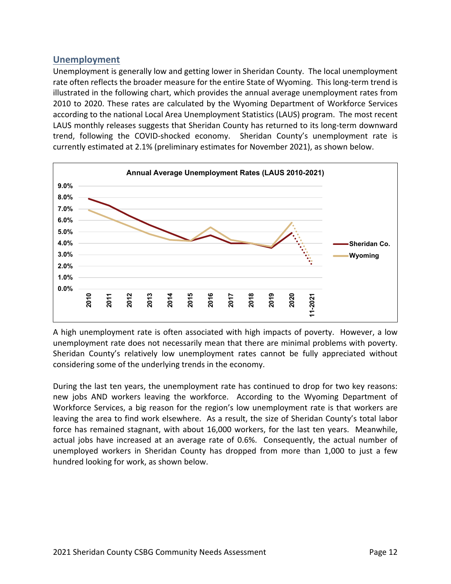# **Unemployment**

Unemployment is generally low and getting lower in Sheridan County. The local unemployment rate often reflects the broader measure for the entire State of Wyoming. This long-term trend is illustrated in the following chart, which provides the annual average unemployment rates from 2010 to 2020. These rates are calculated by the Wyoming Department of Workforce Services according to the national Local Area Unemployment Statistics (LAUS) program. The most recent LAUS monthly releases suggests that Sheridan County has returned to its long-term downward trend, following the COVID‐shocked economy. Sheridan County's unemployment rate is currently estimated at 2.1% (preliminary estimates for November 2021), as shown below.



A high unemployment rate is often associated with high impacts of poverty. However, a low unemployment rate does not necessarily mean that there are minimal problems with poverty. Sheridan County's relatively low unemployment rates cannot be fully appreciated without considering some of the underlying trends in the economy.

During the last ten years, the unemployment rate has continued to drop for two key reasons: new jobs AND workers leaving the workforce. According to the Wyoming Department of Workforce Services, a big reason for the region's low unemployment rate is that workers are leaving the area to find work elsewhere. As a result, the size of Sheridan County's total labor force has remained stagnant, with about 16,000 workers, for the last ten years. Meanwhile, actual jobs have increased at an average rate of 0.6%. Consequently, the actual number of unemployed workers in Sheridan County has dropped from more than 1,000 to just a few hundred looking for work, as shown below.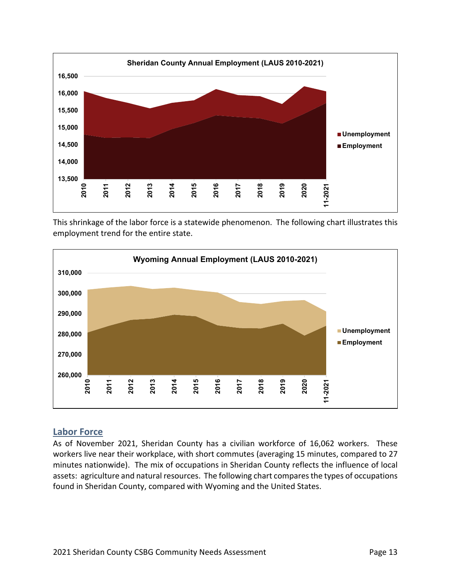

This shrinkage of the labor force is a statewide phenomenon. The following chart illustrates this employment trend for the entire state.



### **Labor Force**

As of November 2021, Sheridan County has a civilian workforce of 16,062 workers. These workers live near their workplace, with short commutes (averaging 15 minutes, compared to 27 minutes nationwide). The mix of occupations in Sheridan County reflects the influence of local assets: agriculture and natural resources. The following chart compares the types of occupations found in Sheridan County, compared with Wyoming and the United States.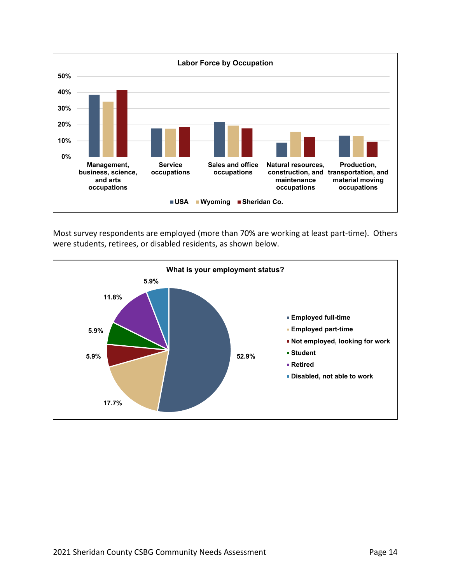

Most survey respondents are employed (more than 70% are working at least part‐time). Others were students, retirees, or disabled residents, as shown below.

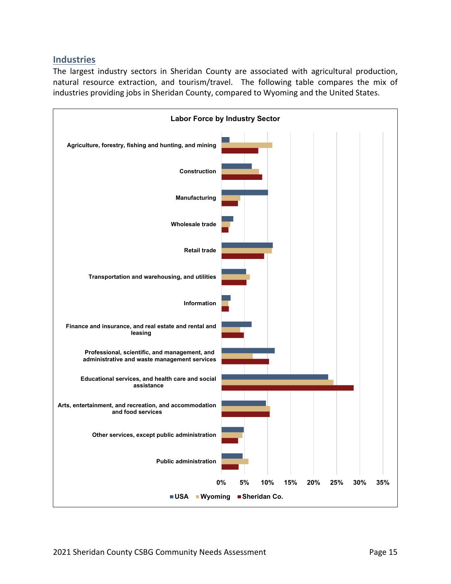# **Industries**

The largest industry sectors in Sheridan County are associated with agricultural production, natural resource extraction, and tourism/travel. The following table compares the mix of industries providing jobs in Sheridan County, compared to Wyoming and the United States.

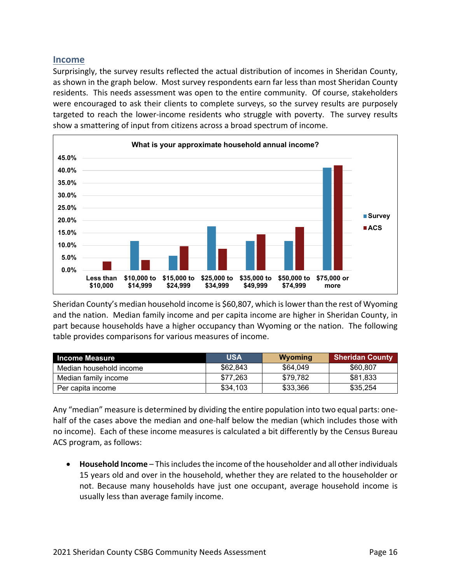#### **Income**

Surprisingly, the survey results reflected the actual distribution of incomes in Sheridan County, as shown in the graph below. Most survey respondents earn far less than most Sheridan County residents. This needs assessment was open to the entire community. Of course, stakeholders were encouraged to ask their clients to complete surveys, so the survey results are purposely targeted to reach the lower‐income residents who struggle with poverty. The survey results show a smattering of input from citizens across a broad spectrum of income.



Sheridan County's median household income is \$60,807, which is lower than the rest of Wyoming and the nation. Median family income and per capita income are higher in Sheridan County, in part because households have a higher occupancy than Wyoming or the nation. The following table provides comparisons for various measures of income.

| <b>Income Measure</b>   | <b>USA</b> | Wyoming  | <b>Sheridan County</b> |
|-------------------------|------------|----------|------------------------|
| Median household income | \$62,843   | \$64.049 | \$60,807               |
| Median family income    | \$77.263   | \$79.782 | \$81,833               |
| Per capita income       | \$34,103   | \$33,366 | \$35,254               |

Any "median" measure is determined by dividing the entire population into two equal parts: one‐ half of the cases above the median and one-half below the median (which includes those with no income). Each of these income measures is calculated a bit differently by the Census Bureau ACS program, as follows:

 **Household Income** – Thisincludesthe income of the householder and all other individuals 15 years old and over in the household, whether they are related to the householder or not. Because many households have just one occupant, average household income is usually less than average family income.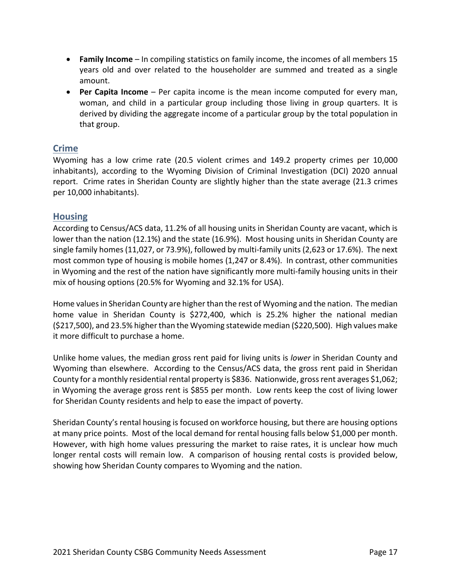- **Family Income** In compiling statistics on family income, the incomes of all members 15 years old and over related to the householder are summed and treated as a single amount.
- **Per Capita Income** Per capita income is the mean income computed for every man, woman, and child in a particular group including those living in group quarters. It is derived by dividing the aggregate income of a particular group by the total population in that group.

# **Crime**

Wyoming has a low crime rate (20.5 violent crimes and 149.2 property crimes per 10,000 inhabitants), according to the Wyoming Division of Criminal Investigation (DCI) 2020 annual report. Crime rates in Sheridan County are slightly higher than the state average (21.3 crimes per 10,000 inhabitants).

# **Housing**

According to Census/ACS data, 11.2% of all housing units in Sheridan County are vacant, which is lower than the nation (12.1%) and the state (16.9%). Most housing units in Sheridan County are single family homes (11,027, or 73.9%), followed by multi-family units (2,623 or 17.6%). The next most common type of housing is mobile homes (1,247 or 8.4%). In contrast, other communities in Wyoming and the rest of the nation have significantly more multi-family housing units in their mix of housing options (20.5% for Wyoming and 32.1% for USA).

Home values in Sheridan County are higher than the rest of Wyoming and the nation. The median home value in Sheridan County is \$272,400, which is 25.2% higher the national median (\$217,500), and 23.5% higherthan the Wyoming statewide median (\$220,500). High values make it more difficult to purchase a home.

Unlike home values, the median gross rent paid for living units is *lower* in Sheridan County and Wyoming than elsewhere. According to the Census/ACS data, the gross rent paid in Sheridan County for a monthly residential rental property is \$836. Nationwide, gross rent averages \$1,062; in Wyoming the average gross rent is \$855 per month. Low rents keep the cost of living lower for Sheridan County residents and help to ease the impact of poverty.

Sheridan County's rental housing is focused on workforce housing, but there are housing options at many price points. Most of the local demand for rental housing falls below \$1,000 per month. However, with high home values pressuring the market to raise rates, it is unclear how much longer rental costs will remain low. A comparison of housing rental costs is provided below, showing how Sheridan County compares to Wyoming and the nation.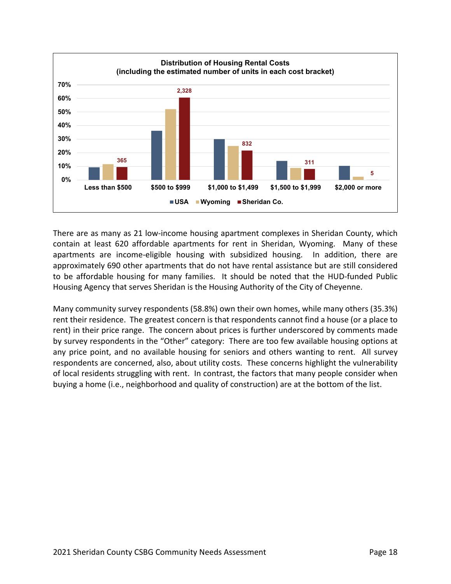

There are as many as 21 low‐income housing apartment complexes in Sheridan County, which contain at least 620 affordable apartments for rent in Sheridan, Wyoming. Many of these apartments are income-eligible housing with subsidized housing. In addition, there are approximately 690 other apartments that do not have rental assistance but are still considered to be affordable housing for many families. It should be noted that the HUD-funded Public Housing Agency that serves Sheridan is the Housing Authority of the City of Cheyenne.

Many community survey respondents (58.8%) own their own homes, while many others (35.3%) rent their residence. The greatest concern is that respondents cannot find a house (or a place to rent) in their price range. The concern about prices is further underscored by comments made by survey respondents in the "Other" category: There are too few available housing options at any price point, and no available housing for seniors and others wanting to rent. All survey respondents are concerned, also, about utility costs. These concerns highlight the vulnerability of local residents struggling with rent. In contrast, the factors that many people consider when buying a home (i.e., neighborhood and quality of construction) are at the bottom of the list.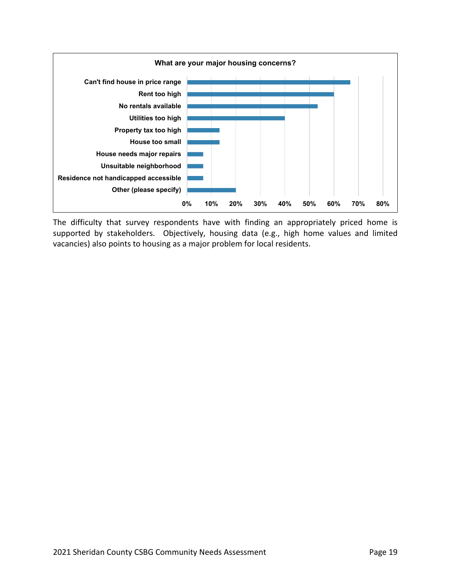

The difficulty that survey respondents have with finding an appropriately priced home is supported by stakeholders. Objectively, housing data (e.g., high home values and limited vacancies) also points to housing as a major problem for local residents.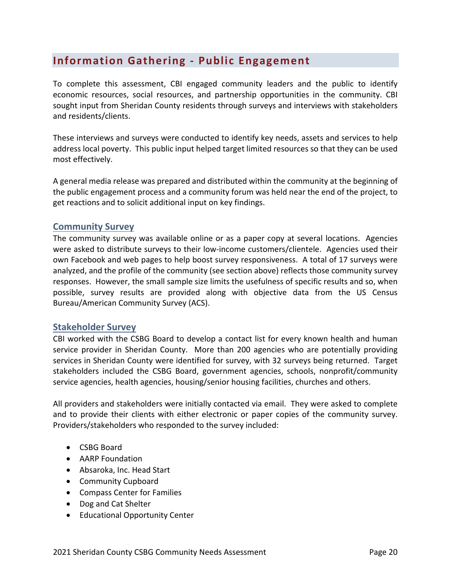# **Information Gathering ‐ Public Engagement**

To complete this assessment, CBI engaged community leaders and the public to identify economic resources, social resources, and partnership opportunities in the community. CBI sought input from Sheridan County residents through surveys and interviews with stakeholders and residents/clients.

These interviews and surveys were conducted to identify key needs, assets and services to help address local poverty. This public input helped target limited resources so that they can be used most effectively.

A general media release was prepared and distributed within the community at the beginning of the public engagement process and a community forum was held near the end of the project, to get reactions and to solicit additional input on key findings.

### **Community Survey**

The community survey was available online or as a paper copy at several locations. Agencies were asked to distribute surveys to their low-income customers/clientele. Agencies used their own Facebook and web pages to help boost survey responsiveness. A total of 17 surveys were analyzed, and the profile of the community (see section above) reflects those community survey responses. However, the small sample size limits the usefulness of specific results and so, when possible, survey results are provided along with objective data from the US Census Bureau/American Community Survey (ACS).

### **Stakeholder Survey**

CBI worked with the CSBG Board to develop a contact list for every known health and human service provider in Sheridan County. More than 200 agencies who are potentially providing services in Sheridan County were identified for survey, with 32 surveys being returned. Target stakeholders included the CSBG Board, government agencies, schools, nonprofit/community service agencies, health agencies, housing/senior housing facilities, churches and others.

All providers and stakeholders were initially contacted via email. They were asked to complete and to provide their clients with either electronic or paper copies of the community survey. Providers/stakeholders who responded to the survey included:

- CSBG Board
- AARP Foundation
- Absaroka, Inc. Head Start
- Community Cupboard
- Compass Center for Families
- Dog and Cat Shelter
- Educational Opportunity Center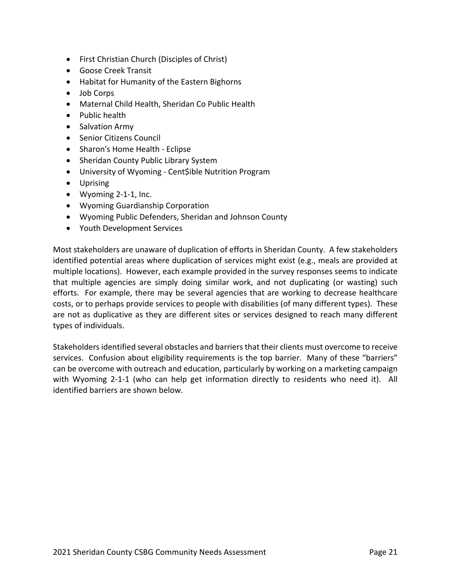- First Christian Church (Disciples of Christ)
- Goose Creek Transit
- Habitat for Humanity of the Eastern Bighorns
- Job Corps
- Maternal Child Health, Sheridan Co Public Health
- Public health
- Salvation Army
- **•** Senior Citizens Council
- Sharon's Home Health Eclipse
- Sheridan County Public Library System
- University of Wyoming Cent\$ible Nutrition Program
- Uprising
- Wyoming 2‐1‐1, Inc.
- Wyoming Guardianship Corporation
- Wyoming Public Defenders, Sheridan and Johnson County
- Youth Development Services

Most stakeholders are unaware of duplication of efforts in Sheridan County. A few stakeholders identified potential areas where duplication of services might exist (e.g., meals are provided at multiple locations). However, each example provided in the survey responses seems to indicate that multiple agencies are simply doing similar work, and not duplicating (or wasting) such efforts. For example, there may be several agencies that are working to decrease healthcare costs, or to perhaps provide services to people with disabilities (of many different types). These are not as duplicative as they are different sites or services designed to reach many different types of individuals.

Stakeholdersidentified several obstacles and barriersthat their clients must overcome to receive services. Confusion about eligibility requirements is the top barrier. Many of these "barriers" can be overcome with outreach and education, particularly by working on a marketing campaign with Wyoming 2-1-1 (who can help get information directly to residents who need it). All identified barriers are shown below.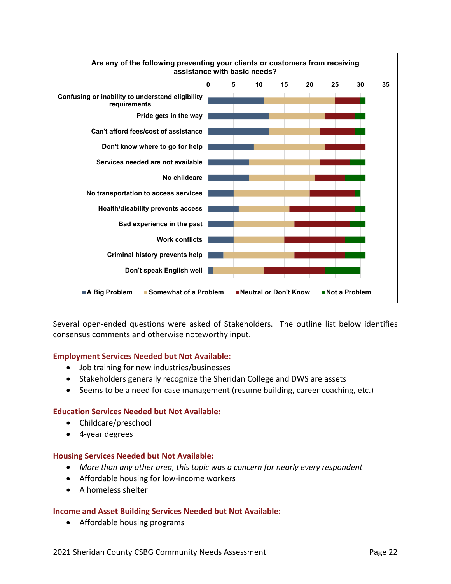

Several open-ended questions were asked of Stakeholders. The outline list below identifies consensus comments and otherwise noteworthy input.

#### **Employment Services Needed but Not Available:**

- Job training for new industries/businesses
- Stakeholders generally recognize the Sheridan College and DWS are assets
- Seems to be a need for case management (resume building, career coaching, etc.)

#### **Education Services Needed but Not Available:**

- Childcare/preschool
- 4‐year degrees

#### **Housing Services Needed but Not Available:**

- *More than any other area, this topic was a concern for nearly every respondent*
- Affordable housing for low-income workers
- A homeless shelter

#### **Income and Asset Building Services Needed but Not Available:**

Affordable housing programs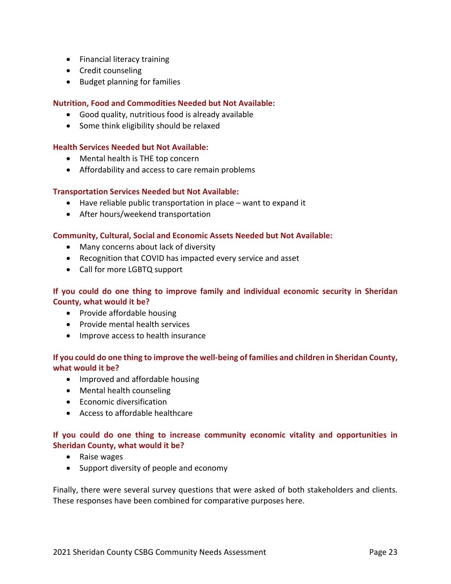- Financial literacy training
- Credit counseling
- Budget planning for families

#### **Nutrition, Food and Commodities Needed but Not Available:**

- Good quality, nutritious food is already available
- Some think eligibility should be relaxed

#### **Health Services Needed but Not Available:**

- Mental health is THE top concern
- Affordability and access to care remain problems

#### **Transportation Services Needed but Not Available:**

- Have reliable public transportation in place want to expand it
- After hours/weekend transportation

#### **Community, Cultural, Social and Economic Assets Needed but Not Available:**

- Many concerns about lack of diversity
- Recognition that COVID has impacted every service and asset
- Call for more LGBTQ support

#### **If you could do one thing to improve family and individual economic security in Sheridan County, what would it be?**

- Provide affordable housing
- Provide mental health services
- Improve access to health insurance

### If you could do one thing to improve the well-being of families and children in Sheridan County, **what would it be?**

- Improved and affordable housing
- Mental health counseling
- Economic diversification
- Access to affordable healthcare

#### **If you could do one thing to increase community economic vitality and opportunities in Sheridan County, what would it be?**

- Raise wages
- Support diversity of people and economy

Finally, there were several survey questions that were asked of both stakeholders and clients. These responses have been combined for comparative purposes here.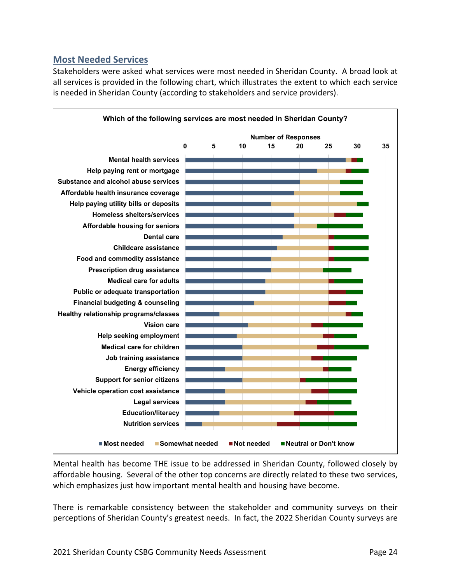# **Most Needed Services**

Stakeholders were asked what services were most needed in Sheridan County. A broad look at all services is provided in the following chart, which illustrates the extent to which each service is needed in Sheridan County (according to stakeholders and service providers).



Mental health has become THE issue to be addressed in Sheridan County, followed closely by affordable housing. Several of the other top concerns are directly related to these two services, which emphasizes just how important mental health and housing have become.

There is remarkable consistency between the stakeholder and community surveys on their perceptions of Sheridan County's greatest needs. In fact, the 2022 Sheridan County surveys are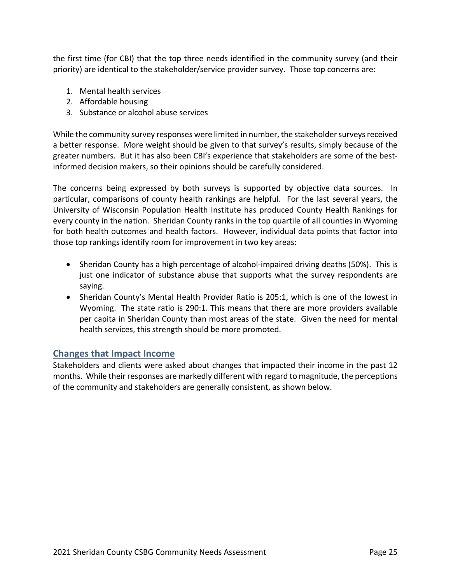the first time (for CBI) that the top three needs identified in the community survey (and their priority) are identical to the stakeholder/service provider survey. Those top concerns are:

- 1. Mental health services
- 2. Affordable housing
- 3. Substance or alcohol abuse services

While the community survey responses were limited in number, the stakeholder surveys received a better response. More weight should be given to that survey's results, simply because of the greater numbers. But it has also been CBI's experience that stakeholders are some of the bestinformed decision makers, so their opinions should be carefully considered.

The concerns being expressed by both surveys is supported by objective data sources. In particular, comparisons of county health rankings are helpful. For the last several years, the University of Wisconsin Population Health Institute has produced County Health Rankings for every county in the nation. Sheridan County ranks in the top quartile of all counties in Wyoming for both health outcomes and health factors. However, individual data points that factor into those top rankings identify room for improvement in two key areas:

- Sheridan County has a high percentage of alcohol-impaired driving deaths (50%). This is just one indicator of substance abuse that supports what the survey respondents are saying.
- Sheridan County's Mental Health Provider Ratio is 205:1, which is one of the lowest in Wyoming. The state ratio is 290:1. This means that there are more providers available per capita in Sheridan County than most areas of the state. Given the need for mental health services, this strength should be more promoted.

# **Changes that Impact Income**

Stakeholders and clients were asked about changes that impacted their income in the past 12 months. While their responses are markedly different with regard to magnitude, the perceptions of the community and stakeholders are generally consistent, as shown below.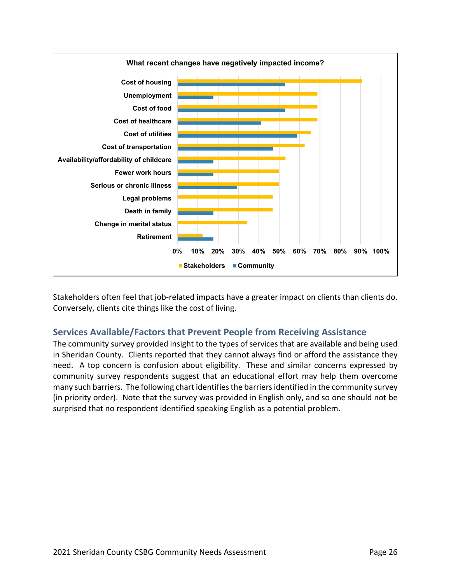

Stakeholders often feel that job‐related impacts have a greater impact on clients than clients do. Conversely, clients cite things like the cost of living.

# **Services Available/Factors that Prevent People from Receiving Assistance**

The community survey provided insight to the types of services that are available and being used in Sheridan County. Clients reported that they cannot always find or afford the assistance they need. A top concern is confusion about eligibility. These and similar concerns expressed by community survey respondents suggest that an educational effort may help them overcome many such barriers. The following chart identifiesthe barriersidentified in the community survey (in priority order). Note that the survey was provided in English only, and so one should not be surprised that no respondent identified speaking English as a potential problem.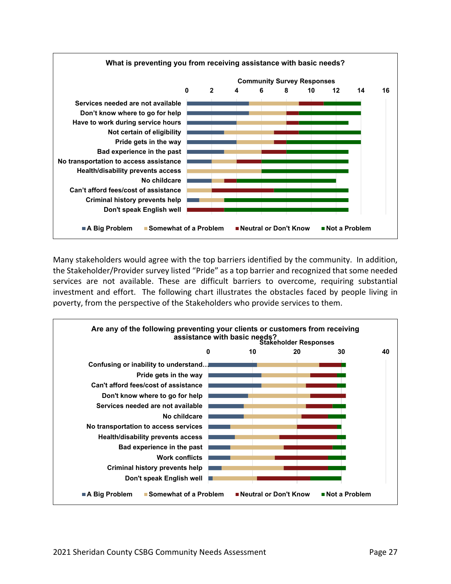

Many stakeholders would agree with the top barriers identified by the community. In addition, the Stakeholder/Provider survey listed "Pride" as a top barrier and recognized that some needed services are not available. These are difficult barriers to overcome, requiring substantial investment and effort. The following chart illustrates the obstacles faced by people living in poverty, from the perspective of the Stakeholders who provide services to them.

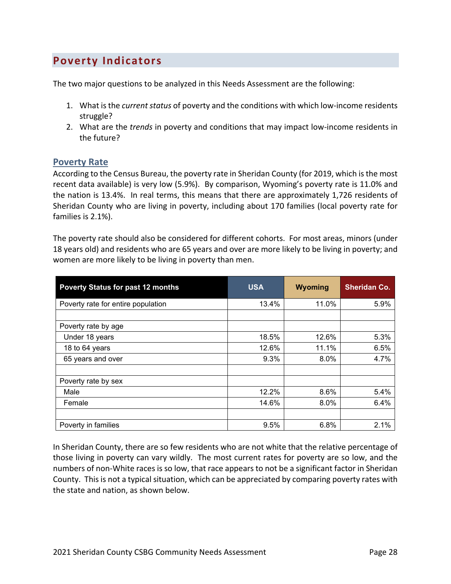# **Poverty Indicators**

The two major questions to be analyzed in this Needs Assessment are the following:

- 1. What is the *current status* of poverty and the conditions with which low-income residents struggle?
- 2. What are the *trends* in poverty and conditions that may impact low‐income residents in the future?

#### **Poverty Rate**

According to the Census Bureau, the poverty rate in Sheridan County (for 2019, which isthe most recent data available) is very low (5.9%). By comparison, Wyoming's poverty rate is 11.0% and the nation is 13.4%. In real terms, this means that there are approximately 1,726 residents of Sheridan County who are living in poverty, including about 170 families (local poverty rate for families is 2.1%).

The poverty rate should also be considered for different cohorts. For most areas, minors (under 18 years old) and residents who are 65 years and over are more likely to be living in poverty; and women are more likely to be living in poverty than men.

| <b>Poverty Status for past 12 months</b> | <b>USA</b> | Wyoming | <b>Sheridan Co.</b> |
|------------------------------------------|------------|---------|---------------------|
| Poverty rate for entire population       | 13.4%      | 11.0%   | 5.9%                |
|                                          |            |         |                     |
| Poverty rate by age                      |            |         |                     |
| Under 18 years                           | 18.5%      | 12.6%   | 5.3%                |
| 18 to 64 years                           | 12.6%      | 11.1%   | 6.5%                |
| 65 years and over                        | 9.3%       | 8.0%    | 4.7%                |
|                                          |            |         |                     |
| Poverty rate by sex                      |            |         |                     |
| Male                                     | 12.2%      | 8.6%    | 5.4%                |
| Female                                   | 14.6%      | 8.0%    | 6.4%                |
|                                          |            |         |                     |
| Poverty in families                      | 9.5%       | 6.8%    | 2.1%                |

In Sheridan County, there are so few residents who are not white that the relative percentage of those living in poverty can vary wildly. The most current rates for poverty are so low, and the numbers of non‐White races is so low, that race appears to not be a significant factor in Sheridan County. This is not a typical situation, which can be appreciated by comparing poverty rates with the state and nation, as shown below.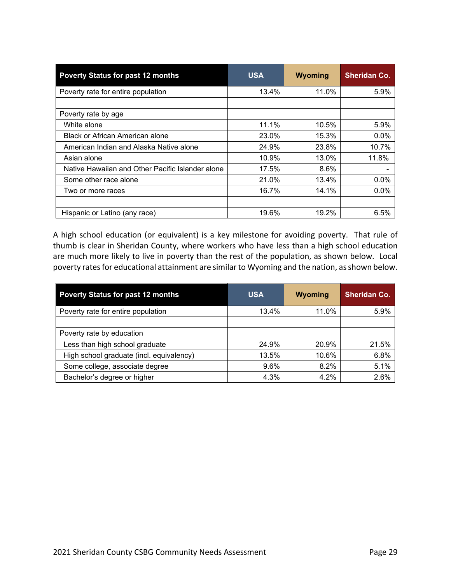| <b>Poverty Status for past 12 months</b>         | <b>USA</b> | Wyoming | <b>Sheridan Co.</b> |
|--------------------------------------------------|------------|---------|---------------------|
| Poverty rate for entire population               | 13.4%      | 11.0%   | 5.9%                |
|                                                  |            |         |                     |
| Poverty rate by age                              |            |         |                     |
| White alone                                      | 11.1%      | 10.5%   | 5.9%                |
| Black or African American alone                  | 23.0%      | 15.3%   | 0.0%                |
| American Indian and Alaska Native alone          | 24.9%      | 23.8%   | 10.7%               |
| Asian alone                                      | 10.9%      | 13.0%   | 11.8%               |
| Native Hawaiian and Other Pacific Islander alone | 17.5%      | 8.6%    |                     |
| Some other race alone                            | 21.0%      | 13.4%   | 0.0%                |
| Two or more races                                | 16.7%      | 14.1%   | 0.0%                |
|                                                  |            |         |                     |
| Hispanic or Latino (any race)                    | 19.6%      | 19.2%   | 6.5%                |

A high school education (or equivalent) is a key milestone for avoiding poverty. That rule of thumb is clear in Sheridan County, where workers who have less than a high school education are much more likely to live in poverty than the rest of the population, as shown below. Local poverty rates for educational attainment are similar to Wyoming and the nation, as shown below.

| <b>Poverty Status for past 12 months</b> | <b>USA</b> | Wyoming | <b>Sheridan Co.</b> |
|------------------------------------------|------------|---------|---------------------|
| Poverty rate for entire population       | 13.4%      | 11.0%   | 5.9%                |
|                                          |            |         |                     |
| Poverty rate by education                |            |         |                     |
| Less than high school graduate           | 24.9%      | 20.9%   | 21.5%               |
| High school graduate (incl. equivalency) | 13.5%      | 10.6%   | 6.8%                |
| Some college, associate degree           | 9.6%       | 8.2%    | 5.1%                |
| Bachelor's degree or higher              | 4.3%       | 4.2%    | 2.6%                |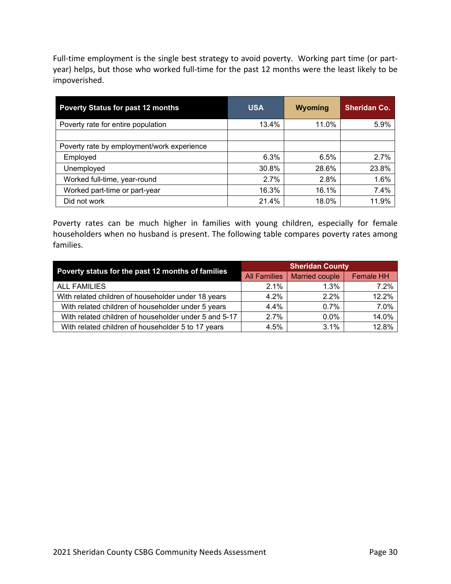Full-time employment is the single best strategy to avoid poverty. Working part time (or partyear) helps, but those who worked full-time for the past 12 months were the least likely to be impoverished.

| <b>Poverty Status for past 12 months</b>   | <b>USA</b> | Wyoming | <b>Sheridan Co.</b> |
|--------------------------------------------|------------|---------|---------------------|
| Poverty rate for entire population         | 13.4%      | 11.0%   | 5.9%                |
|                                            |            |         |                     |
| Poverty rate by employment/work experience |            |         |                     |
| Employed                                   | 6.3%       | 6.5%    | 2.7%                |
| Unemployed                                 | 30.8%      | 28.6%   | 23.8%               |
| Worked full-time, year-round               | 2.7%       | 2.8%    | 1.6%                |
| Worked part-time or part-year              | 16.3%      | 16.1%   | 7.4%                |
| Did not work                               | 21.4%      | 18.0%   | 11.9%               |

Poverty rates can be much higher in families with young children, especially for female householders when no husband is present. The following table compares poverty rates among families.

| Poverty status for the past 12 months of families     | <b>Sheridan County</b> |                       |                  |  |
|-------------------------------------------------------|------------------------|-----------------------|------------------|--|
|                                                       | <b>All Families</b>    | <b>Married couple</b> | <b>Female HH</b> |  |
| <b>ALL FAMILIES</b>                                   | $2.1\%$                | 1.3%                  | 7.2%             |  |
| With related children of householder under 18 years   | 4.2%                   | $2.2\%$               | 12.2%            |  |
| With related children of householder under 5 years    | $4.4\%$                | 0.7%                  | 7.0%             |  |
| With related children of householder under 5 and 5-17 | 2.7%                   | $0.0\%$               | 14.0%            |  |
| With related children of householder 5 to 17 years    | 4.5%                   | 3.1%                  | 12.8%            |  |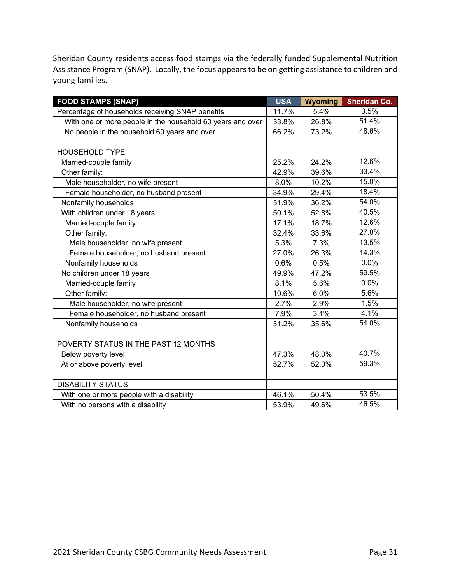Sheridan County residents access food stamps via the federally funded Supplemental Nutrition Assistance Program (SNAP). Locally, the focus appears to be on getting assistance to children and young families.

| <b>FOOD STAMPS (SNAP)</b>                                  | <b>USA</b> | Wyoming | <b>Sheridan Co.</b> |
|------------------------------------------------------------|------------|---------|---------------------|
| Percentage of households receiving SNAP benefits           | 11.7%      | 5.4%    | 3.5%                |
| With one or more people in the household 60 years and over | 33.8%      | 26.8%   | 51.4%               |
| No people in the household 60 years and over               | 66.2%      | 73.2%   | 48.6%               |
|                                                            |            |         |                     |
| <b>HOUSEHOLD TYPE</b>                                      |            |         |                     |
| Married-couple family                                      | 25.2%      | 24.2%   | 12.6%               |
| Other family:                                              | 42.9%      | 39.6%   | 33.4%               |
| Male householder, no wife present                          | 8.0%       | 10.2%   | 15.0%               |
| Female householder, no husband present                     | 34.9%      | 29.4%   | 18.4%               |
| Nonfamily households                                       | 31.9%      | 36.2%   | 54.0%               |
| With children under 18 years                               | 50.1%      | 52.8%   | 40.5%               |
| Married-couple family                                      | 17.1%      | 18.7%   | 12.6%               |
| Other family:                                              | 32.4%      | 33.6%   | 27.8%               |
| Male householder, no wife present                          | 5.3%       | 7.3%    | 13.5%               |
| Female householder, no husband present                     | 27.0%      | 26.3%   | 14.3%               |
| Nonfamily households                                       | 0.6%       | 0.5%    | 0.0%                |
| No children under 18 years                                 | 49.9%      | 47.2%   | 59.5%               |
| Married-couple family                                      | 8.1%       | 5.6%    | 0.0%                |
| Other family:                                              | 10.6%      | 6.0%    | 5.6%                |
| Male householder, no wife present                          | 2.7%       | 2.9%    | 1.5%                |
| Female householder, no husband present                     | 7.9%       | 3.1%    | 4.1%                |
| Nonfamily households                                       | 31.2%      | 35.6%   | 54.0%               |
|                                                            |            |         |                     |
| POVERTY STATUS IN THE PAST 12 MONTHS                       |            |         |                     |
| Below poverty level                                        | 47.3%      | 48.0%   | 40.7%               |
| At or above poverty level                                  | 52.7%      | 52.0%   | 59.3%               |
|                                                            |            |         |                     |
| <b>DISABILITY STATUS</b>                                   |            |         |                     |
| With one or more people with a disability                  | 46.1%      | 50.4%   | 53.5%               |
| With no persons with a disability                          | 53.9%      | 49.6%   | 46.5%               |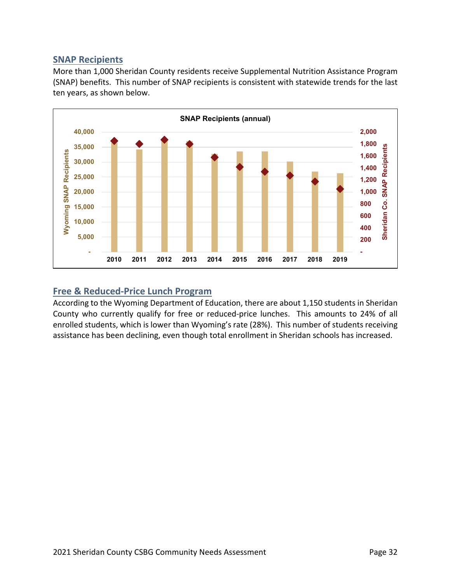# **SNAP Recipients**

More than 1,000 Sheridan County residents receive Supplemental Nutrition Assistance Program (SNAP) benefits. This number of SNAP recipients is consistent with statewide trends for the last ten years, as shown below.



### **Free & Reduced‐Price Lunch Program**

According to the Wyoming Department of Education, there are about 1,150 students in Sheridan County who currently qualify for free or reduced‐price lunches. This amounts to 24% of all enrolled students, which is lower than Wyoming's rate (28%). This number of students receiving assistance has been declining, even though total enrollment in Sheridan schools has increased.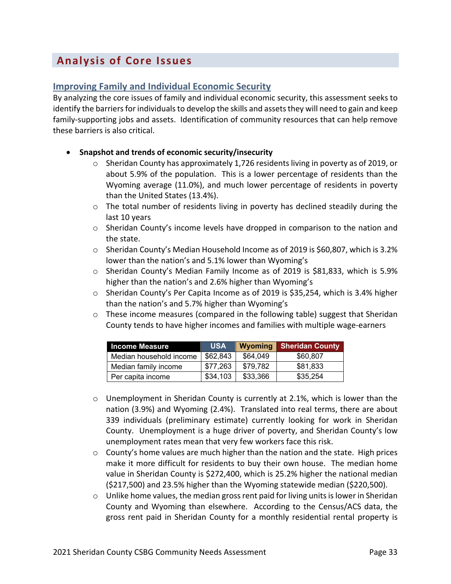# **Analysis of Core Issues**

# **Improving Family and Individual Economic Security**

By analyzing the core issues of family and individual economic security, this assessment seeks to identify the barriers for individuals to develop the skills and assets they will need to gain and keep family-supporting jobs and assets. Identification of community resources that can help remove these barriers is also critical.

- **Snapshot and trends of economic security/insecurity**
	- $\circ$  Sheridan County has approximately 1,726 residents living in poverty as of 2019, or about 5.9% of the population. This is a lower percentage of residents than the Wyoming average (11.0%), and much lower percentage of residents in poverty than the United States (13.4%).
	- o The total number of residents living in poverty has declined steadily during the last 10 years
	- $\circ$  Sheridan County's income levels have dropped in comparison to the nation and the state.
	- $\circ$  Sheridan County's Median Household Income as of 2019 is \$60,807, which is 3.2% lower than the nation's and 5.1% lower than Wyoming's
	- $\circ$  Sheridan County's Median Family Income as of 2019 is \$81,833, which is 5.9% higher than the nation's and 2.6% higher than Wyoming's
	- $\circ$  Sheridan County's Per Capita Income as of 2019 is \$35,254, which is 3.4% higher than the nation's and 5.7% higher than Wyoming's
	- $\circ$  These income measures (compared in the following table) suggest that Sheridan County tends to have higher incomes and families with multiple wage‐earners

| <b>Income Measure</b>   | <b>USA</b> | Wyoming  | <b>Sheridan County</b> |
|-------------------------|------------|----------|------------------------|
| Median household income | \$62,843   | \$64,049 | \$60,807               |
| Median family income    | \$77,263   | \$79,782 | \$81,833               |
| Per capita income       | \$34,103   | \$33,366 | \$35,254               |

- $\circ$  Unemployment in Sheridan County is currently at 2.1%, which is lower than the nation (3.9%) and Wyoming (2.4%). Translated into real terms, there are about 339 individuals (preliminary estimate) currently looking for work in Sheridan County. Unemployment is a huge driver of poverty, and Sheridan County's low unemployment rates mean that very few workers face this risk.
- $\circ$  County's home values are much higher than the nation and the state. High prices make it more difficult for residents to buy their own house. The median home value in Sheridan County is \$272,400, which is 25.2% higher the national median (\$217,500) and 23.5% higher than the Wyoming statewide median (\$220,500).
- $\circ$  Unlike home values, the median gross rent paid for living units is lower in Sheridan County and Wyoming than elsewhere. According to the Census/ACS data, the gross rent paid in Sheridan County for a monthly residential rental property is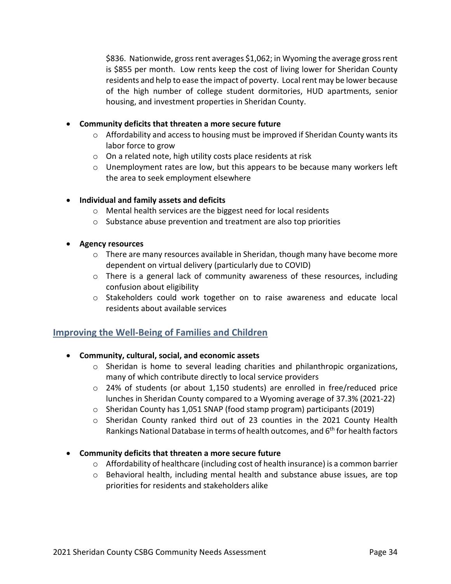\$836. Nationwide, gross rent averages \$1,062; in Wyoming the average gross rent is \$855 per month. Low rents keep the cost of living lower for Sheridan County residents and help to ease the impact of poverty. Local rent may be lower because of the high number of college student dormitories, HUD apartments, senior housing, and investment properties in Sheridan County.

#### **Community deficits that threaten a more secure future**

- $\circ$  Affordability and access to housing must be improved if Sheridan County wants its labor force to grow
- o On a related note, high utility costs place residents at risk
- $\circ$  Unemployment rates are low, but this appears to be because many workers left the area to seek employment elsewhere

#### **Individual and family assets and deficits**

- o Mental health services are the biggest need for local residents
- o Substance abuse prevention and treatment are also top priorities
- **Agency resources**
	- $\circ$  There are many resources available in Sheridan, though many have become more dependent on virtual delivery (particularly due to COVID)
	- $\circ$  There is a general lack of community awareness of these resources, including confusion about eligibility
	- $\circ$  Stakeholders could work together on to raise awareness and educate local residents about available services

### **Improving the Well‐Being of Families and Children**

#### **Community, cultural, social, and economic assets**

- $\circ$  Sheridan is home to several leading charities and philanthropic organizations, many of which contribute directly to local service providers
- $\circ$  24% of students (or about 1,150 students) are enrolled in free/reduced price lunches in Sheridan County compared to a Wyoming average of 37.3% (2021‐22)
- o Sheridan County has 1,051 SNAP (food stamp program) participants (2019)
- o Sheridan County ranked third out of 23 counties in the 2021 County Health Rankings National Database in terms of health outcomes, and 6<sup>th</sup> for health factors

#### **Community deficits that threaten a more secure future**

- $\circ$  Affordability of healthcare (including cost of health insurance) is a common barrier
- $\circ$  Behavioral health, including mental health and substance abuse issues, are top priorities for residents and stakeholders alike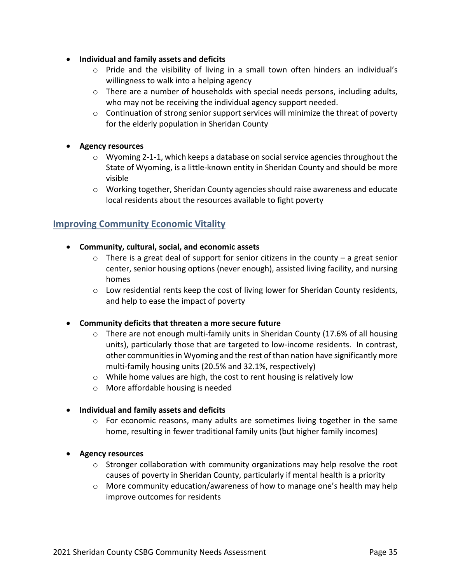- **Individual and family assets and deficits**
	- $\circ$  Pride and the visibility of living in a small town often hinders an individual's willingness to walk into a helping agency
	- $\circ$  There are a number of households with special needs persons, including adults, who may not be receiving the individual agency support needed.
	- o Continuation of strong senior support services will minimize the threat of poverty for the elderly population in Sheridan County

#### **Agency resources**

- $\circ$  Wyoming 2-1-1, which keeps a database on social service agencies throughout the State of Wyoming, is a little‐known entity in Sheridan County and should be more visible
- $\circ$  Working together, Sheridan County agencies should raise awareness and educate local residents about the resources available to fight poverty

# **Improving Community Economic Vitality**

- **Community, cultural, social, and economic assets**
	- $\circ$  There is a great deal of support for senior citizens in the county a great senior center, senior housing options (never enough), assisted living facility, and nursing homes
	- $\circ$  Low residential rents keep the cost of living lower for Sheridan County residents, and help to ease the impact of poverty
- **Community deficits that threaten a more secure future**
	- $\circ$  There are not enough multi-family units in Sheridan County (17.6% of all housing units), particularly those that are targeted to low-income residents. In contrast, other communities in Wyoming and the rest of than nation have significantly more multi-family housing units (20.5% and 32.1%, respectively)
	- o While home values are high, the cost to rent housing is relatively low
	- o More affordable housing is needed
- **Individual and family assets and deficits**
	- o For economic reasons, many adults are sometimes living together in the same home, resulting in fewer traditional family units (but higher family incomes)
- **Agency resources**
	- $\circ$  Stronger collaboration with community organizations may help resolve the root causes of poverty in Sheridan County, particularly if mental health is a priority
	- o More community education/awareness of how to manage one's health may help improve outcomes for residents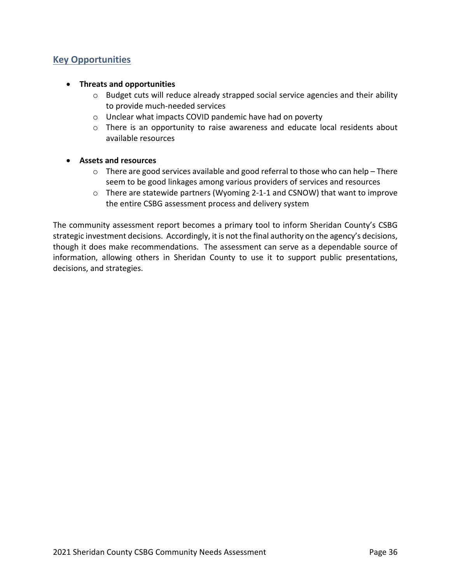# **Key Opportunities**

#### **Threats and opportunities**

- o Budget cuts will reduce already strapped social service agencies and their ability to provide much‐needed services
- o Unclear what impacts COVID pandemic have had on poverty
- $\circ$  There is an opportunity to raise awareness and educate local residents about available resources

#### **Assets and resources**

- $\circ$  There are good services available and good referral to those who can help There seem to be good linkages among various providers of services and resources
- o There are statewide partners (Wyoming 2‐1‐1 and CSNOW) that want to improve the entire CSBG assessment process and delivery system

The community assessment report becomes a primary tool to inform Sheridan County's CSBG strategic investment decisions. Accordingly, it is not the final authority on the agency's decisions, though it does make recommendations. The assessment can serve as a dependable source of information, allowing others in Sheridan County to use it to support public presentations, decisions, and strategies.